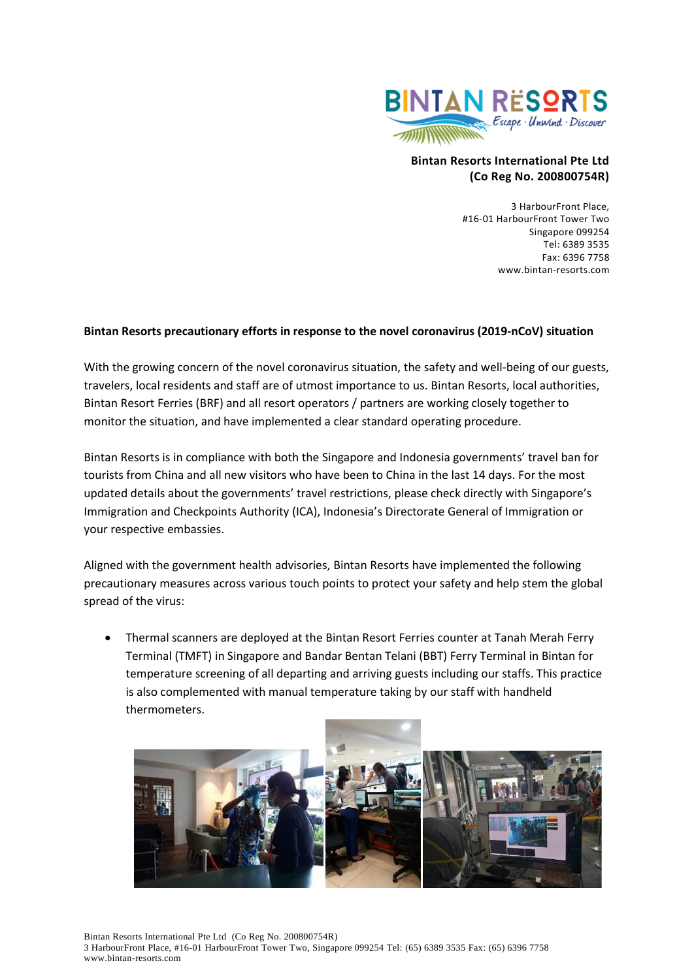

## **Bintan Resorts International Pte Ltd (Co Reg No. 200800754R)**

3 HarbourFront Place, #16-01 HarbourFront Tower Two Singapore 099254 Tel: 6389 3535 Fax: 6396 7758 www.bintan-resorts.com

## **Bintan Resorts precautionary efforts in response to the novel coronavirus (2019-nCoV) situation**

With the growing concern of the novel coronavirus situation, the safety and well-being of our guests, travelers, local residents and staff are of utmost importance to us. Bintan Resorts, local authorities, Bintan Resort Ferries (BRF) and all resort operators / partners are working closely together to monitor the situation, and have implemented a clear standard operating procedure.

Bintan Resorts is in compliance with both the Singapore and Indonesia governments' travel ban for tourists from China and all new visitors who have been to China in the last 14 days. For the most updated details about the governments' travel restrictions, please check directly with Singapore's Immigration and Checkpoints Authority (ICA), Indonesia's Directorate General of Immigration or your respective embassies.

Aligned with the government health advisories, Bintan Resorts have implemented the following precautionary measures across various touch points to protect your safety and help stem the global spread of the virus:

• Thermal scanners are deployed at the Bintan Resort Ferries counter at Tanah Merah Ferry Terminal (TMFT) in Singapore and Bandar Bentan Telani (BBT) Ferry Terminal in Bintan for temperature screening of all departing and arriving guests including our staffs. This practice is also complemented with manual temperature taking by our staff with handheld thermometers.

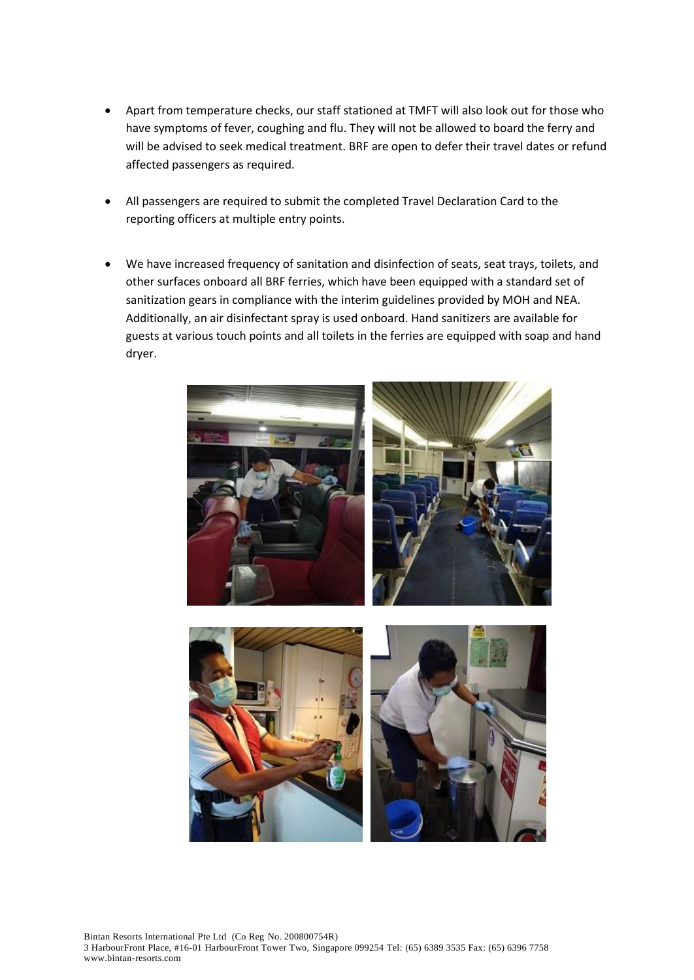- Apart from temperature checks, our staff stationed at TMFT will also look out for those who have symptoms of fever, coughing and flu. They will not be allowed to board the ferry and will be advised to seek medical treatment. BRF are open to defer their travel dates or refund affected passengers as required.
- All passengers are required to submit the completed Travel Declaration Card to the reporting officers at multiple entry points.
- We have increased frequency of sanitation and disinfection of seats, seat trays, toilets, and other surfaces onboard all BRF ferries, which have been equipped with a standard set of sanitization gears in compliance with the interim guidelines provided by MOH and NEA. Additionally, an air disinfectant spray is used onboard. Hand sanitizers are available for guests at various touch points and all toilets in the ferries are equipped with soap and hand dryer.